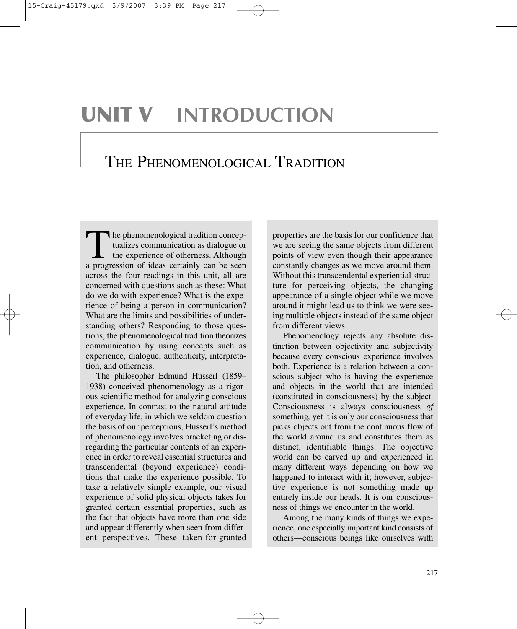# **UNIT V INTRODUCTION**

## THE PHENOMENOLOGICAL TRADITION

The phenomenological tradition conceptualizes communication as dialogue or the experience of otherness. Although a progression of ideas certainly can be seen across the four readings in this unit, all are concerned with questions such as these: What do we do with experience? What is the experience of being a person in communication? What are the limits and possibilities of understanding others? Responding to those questions, the phenomenological tradition theorizes communication by using concepts such as experience, dialogue, authenticity, interpretation, and otherness.

The philosopher Edmund Husserl (1859– 1938) conceived phenomenology as a rigorous scientific method for analyzing conscious experience. In contrast to the natural attitude of everyday life, in which we seldom question the basis of our perceptions, Husserl's method of phenomenology involves bracketing or disregarding the particular contents of an experience in order to reveal essential structures and transcendental (beyond experience) conditions that make the experience possible. To take a relatively simple example, our visual experience of solid physical objects takes for granted certain essential properties, such as the fact that objects have more than one side and appear differently when seen from different perspectives. These taken-for-granted properties are the basis for our confidence that we are seeing the same objects from different points of view even though their appearance constantly changes as we move around them. Without this transcendental experiential structure for perceiving objects, the changing appearance of a single object while we move around it might lead us to think we were seeing multiple objects instead of the same object from different views.

Phenomenology rejects any absolute distinction between objectivity and subjectivity because every conscious experience involves both. Experience is a relation between a conscious subject who is having the experience and objects in the world that are intended (constituted in consciousness) by the subject. Consciousness is always consciousness *of* something*,* yet it is only our consciousness that picks objects out from the continuous flow of the world around us and constitutes them as distinct, identifiable things. The objective world can be carved up and experienced in many different ways depending on how we happened to interact with it; however, subjective experience is not something made up entirely inside our heads. It is our consciousness of things we encounter in the world.

Among the many kinds of things we experience, one especially important kind consists of others—conscious beings like ourselves with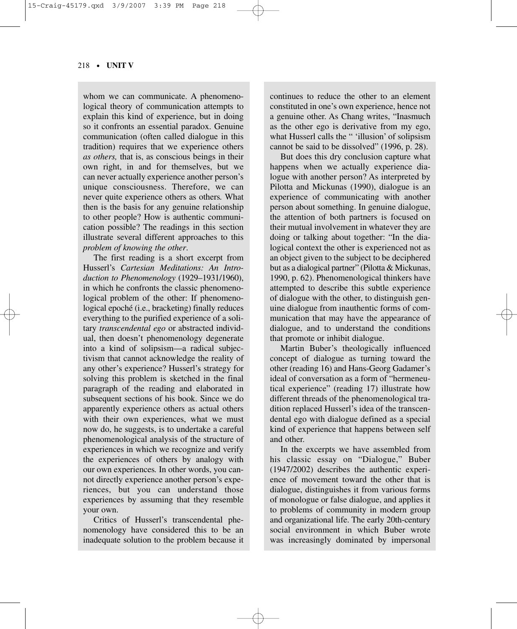#### 218 • **UNIT V**

whom we can communicate. A phenomenological theory of communication attempts to explain this kind of experience, but in doing so it confronts an essential paradox. Genuine communication (often called dialogue in this tradition) requires that we experience others *as others,* that is, as conscious beings in their own right, in and for themselves, but we can never actually experience another person's unique consciousness. Therefore, we can never quite experience others as others*.* What then is the basis for any genuine relationship to other people? How is authentic communication possible? The readings in this section illustrate several different approaches to this *problem of knowing the other*.

The first reading is a short excerpt from Husserl's *Cartesian Meditations: An Introduction to Phenomenology* (1929–1931/1960), in which he confronts the classic phenomenological problem of the other: If phenomenological epoché (i.e., bracketing) finally reduces everything to the purified experience of a solitary *transcendental ego* or abstracted individual, then doesn't phenomenology degenerate into a kind of solipsism—a radical subjectivism that cannot acknowledge the reality of any other's experience? Husserl's strategy for solving this problem is sketched in the final paragraph of the reading and elaborated in subsequent sections of his book. Since we do apparently experience others as actual others with their own experiences, what we must now do, he suggests, is to undertake a careful phenomenological analysis of the structure of experiences in which we recognize and verify the experiences of others by analogy with our own experiences*.* In other words, you cannot directly experience another person's experiences, but you can understand those experiences by assuming that they resemble your own.

Critics of Husserl's transcendental phenomenology have considered this to be an inadequate solution to the problem because it continues to reduce the other to an element constituted in one's own experience, hence not a genuine other. As Chang writes, "Inasmuch as the other ego is derivative from my ego, what Husserl calls the " 'illusion' of solipsism cannot be said to be dissolved" (1996, p. 28).

But does this dry conclusion capture what happens when we actually experience dialogue with another person? As interpreted by Pilotta and Mickunas (1990), dialogue is an experience of communicating with another person about something. In genuine dialogue, the attention of both partners is focused on their mutual involvement in whatever they are doing or talking about together: "In the dialogical context the other is experienced not as an object given to the subject to be deciphered but as a dialogical partner" (Pilotta & Mickunas, 1990, p. 62). Phenomenological thinkers have attempted to describe this subtle experience of dialogue with the other, to distinguish genuine dialogue from inauthentic forms of communication that may have the appearance of dialogue, and to understand the conditions that promote or inhibit dialogue.

Martin Buber's theologically influenced concept of dialogue as turning toward the other (reading 16) and Hans-Georg Gadamer's ideal of conversation as a form of "hermeneutical experience" (reading 17) illustrate how different threads of the phenomenological tradition replaced Husserl's idea of the transcendental ego with dialogue defined as a special kind of experience that happens between self and other.

In the excerpts we have assembled from his classic essay on "Dialogue," Buber (1947/2002) describes the authentic experience of movement toward the other that is dialogue, distinguishes it from various forms of monologue or false dialogue, and applies it to problems of community in modern group and organizational life. The early 20th-century social environment in which Buber wrote was increasingly dominated by impersonal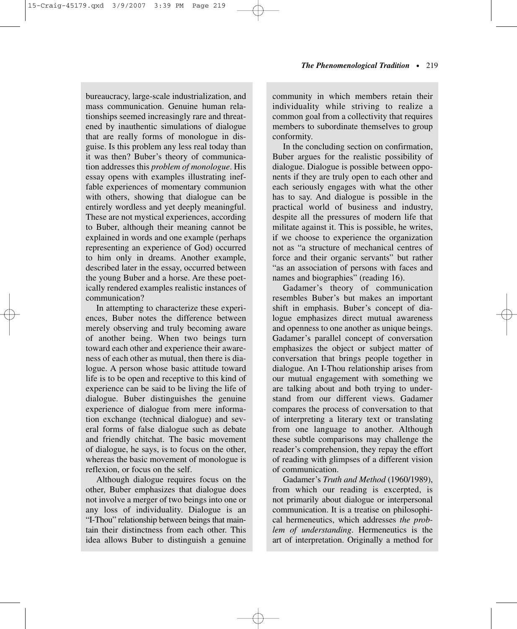bureaucracy, large-scale industrialization, and mass communication. Genuine human relationships seemed increasingly rare and threatened by inauthentic simulations of dialogue that are really forms of monologue in disguise. Is this problem any less real today than it was then? Buber's theory of communication addresses this *problem of monologue*. His essay opens with examples illustrating ineffable experiences of momentary communion with others, showing that dialogue can be entirely wordless and yet deeply meaningful. These are not mystical experiences, according to Buber, although their meaning cannot be explained in words and one example (perhaps representing an experience of God) occurred to him only in dreams. Another example, described later in the essay, occurred between the young Buber and a horse. Are these poetically rendered examples realistic instances of communication?

In attempting to characterize these experiences, Buber notes the difference between merely observing and truly becoming aware of another being. When two beings turn toward each other and experience their awareness of each other as mutual, then there is dialogue. A person whose basic attitude toward life is to be open and receptive to this kind of experience can be said to be living the life of dialogue. Buber distinguishes the genuine experience of dialogue from mere information exchange (technical dialogue) and several forms of false dialogue such as debate and friendly chitchat. The basic movement of dialogue, he says, is to focus on the other, whereas the basic movement of monologue is reflexion, or focus on the self.

Although dialogue requires focus on the other, Buber emphasizes that dialogue does not involve a merger of two beings into one or any loss of individuality. Dialogue is an "I-Thou" relationship between beings that maintain their distinctness from each other. This idea allows Buber to distinguish a genuine

community in which members retain their individuality while striving to realize a common goal from a collectivity that requires members to subordinate themselves to group conformity.

In the concluding section on confirmation, Buber argues for the realistic possibility of dialogue. Dialogue is possible between opponents if they are truly open to each other and each seriously engages with what the other has to say. And dialogue is possible in the practical world of business and industry, despite all the pressures of modern life that militate against it. This is possible, he writes, if we choose to experience the organization not as "a structure of mechanical centres of force and their organic servants" but rather "as an association of persons with faces and names and biographies" (reading 16).

Gadamer's theory of communication resembles Buber's but makes an important shift in emphasis. Buber's concept of dialogue emphasizes direct mutual awareness and openness to one another as unique beings. Gadamer's parallel concept of conversation emphasizes the object or subject matter of conversation that brings people together in dialogue. An I-Thou relationship arises from our mutual engagement with something we are talking about and both trying to understand from our different views. Gadamer compares the process of conversation to that of interpreting a literary text or translating from one language to another. Although these subtle comparisons may challenge the reader's comprehension, they repay the effort of reading with glimpses of a different vision of communication.

Gadamer's *Truth and Method* (1960/1989), from which our reading is excerpted, is not primarily about dialogue or interpersonal communication. It is a treatise on philosophical hermeneutics, which addresses *the problem of understanding*. Hermeneutics is the art of interpretation. Originally a method for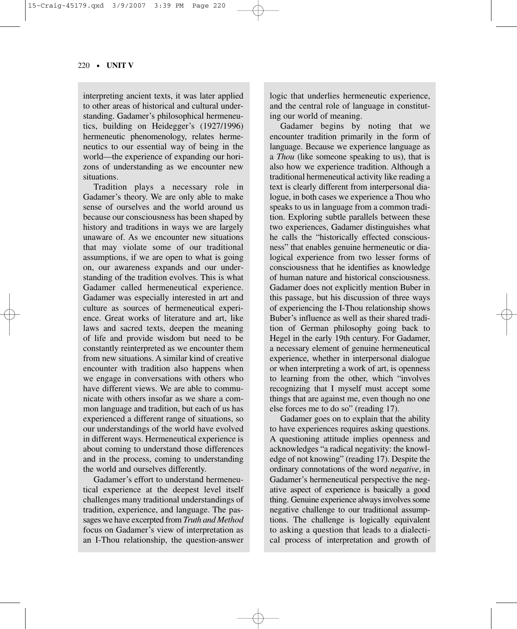#### 220 • **UNIT V**

interpreting ancient texts, it was later applied to other areas of historical and cultural understanding. Gadamer's philosophical hermeneutics, building on Heidegger's (1927/1996) hermeneutic phenomenology, relates hermeneutics to our essential way of being in the world—the experience of expanding our horizons of understanding as we encounter new situations.

Tradition plays a necessary role in Gadamer's theory. We are only able to make sense of ourselves and the world around us because our consciousness has been shaped by history and traditions in ways we are largely unaware of. As we encounter new situations that may violate some of our traditional assumptions, if we are open to what is going on, our awareness expands and our understanding of the tradition evolves. This is what Gadamer called hermeneutical experience. Gadamer was especially interested in art and culture as sources of hermeneutical experience. Great works of literature and art, like laws and sacred texts, deepen the meaning of life and provide wisdom but need to be constantly reinterpreted as we encounter them from new situations. A similar kind of creative encounter with tradition also happens when we engage in conversations with others who have different views. We are able to communicate with others insofar as we share a common language and tradition, but each of us has experienced a different range of situations, so our understandings of the world have evolved in different ways. Hermeneutical experience is about coming to understand those differences and in the process, coming to understanding the world and ourselves differently.

Gadamer's effort to understand hermeneutical experience at the deepest level itself challenges many traditional understandings of tradition, experience, and language. The passages we have excerpted from *Truth and Method* focus on Gadamer's view of interpretation as an I-Thou relationship, the question-answer

logic that underlies hermeneutic experience, and the central role of language in constituting our world of meaning.

Gadamer begins by noting that we encounter tradition primarily in the form of language. Because we experience language as a *Thou* (like someone speaking to us), that is also how we experience tradition. Although a traditional hermeneutical activity like reading a text is clearly different from interpersonal dialogue, in both cases we experience a Thou who speaks to us in language from a common tradition. Exploring subtle parallels between these two experiences, Gadamer distinguishes what he calls the "historically effected consciousness" that enables genuine hermeneutic or dialogical experience from two lesser forms of consciousness that he identifies as knowledge of human nature and historical consciousness. Gadamer does not explicitly mention Buber in this passage, but his discussion of three ways of experiencing the I-Thou relationship shows Buber's influence as well as their shared tradition of German philosophy going back to Hegel in the early 19th century. For Gadamer, a necessary element of genuine hermeneutical experience, whether in interpersonal dialogue or when interpreting a work of art, is openness to learning from the other, which "involves recognizing that I myself must accept some things that are against me, even though no one else forces me to do so" (reading 17).

Gadamer goes on to explain that the ability to have experiences requires asking questions. A questioning attitude implies openness and acknowledges "a radical negativity: the knowledge of not knowing" (reading 17). Despite the ordinary connotations of the word *negative*, in Gadamer's hermeneutical perspective the negative aspect of experience is basically a good thing. Genuine experience always involves some negative challenge to our traditional assumptions. The challenge is logically equivalent to asking a question that leads to a dialectical process of interpretation and growth of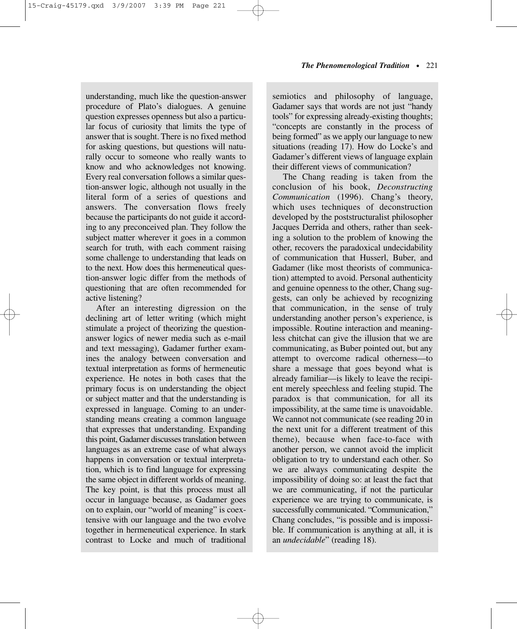understanding, much like the question-answer procedure of Plato's dialogues. A genuine question expresses openness but also a particular focus of curiosity that limits the type of answer that is sought. There is no fixed method for asking questions, but questions will naturally occur to someone who really wants to know and who acknowledges not knowing. Every real conversation follows a similar question-answer logic, although not usually in the literal form of a series of questions and answers. The conversation flows freely because the participants do not guide it according to any preconceived plan. They follow the subject matter wherever it goes in a common search for truth, with each comment raising some challenge to understanding that leads on to the next. How does this hermeneutical question-answer logic differ from the methods of questioning that are often recommended for active listening?

After an interesting digression on the declining art of letter writing (which might stimulate a project of theorizing the questionanswer logics of newer media such as e-mail and text messaging), Gadamer further examines the analogy between conversation and textual interpretation as forms of hermeneutic experience. He notes in both cases that the primary focus is on understanding the object or subject matter and that the understanding is expressed in language. Coming to an understanding means creating a common language that expresses that understanding. Expanding this point, Gadamer discusses translation between languages as an extreme case of what always happens in conversation or textual interpretation, which is to find language for expressing the same object in different worlds of meaning. The key point, is that this process must all occur in language because, as Gadamer goes on to explain, our "world of meaning" is coextensive with our language and the two evolve together in hermeneutical experience. In stark contrast to Locke and much of traditional

semiotics and philosophy of language, Gadamer says that words are not just "handy tools" for expressing already-existing thoughts; "concepts are constantly in the process of being formed" as we apply our language to new situations (reading 17). How do Locke's and Gadamer's different views of language explain their different views of communication?

The Chang reading is taken from the conclusion of his book, *Deconstructing Communication* (1996). Chang's theory, which uses techniques of deconstruction developed by the poststructuralist philosopher Jacques Derrida and others, rather than seeking a solution to the problem of knowing the other, recovers the paradoxical undecidability of communication that Husserl, Buber, and Gadamer (like most theorists of communication) attempted to avoid. Personal authenticity and genuine openness to the other, Chang suggests, can only be achieved by recognizing that communication, in the sense of truly understanding another person's experience, is impossible. Routine interaction and meaningless chitchat can give the illusion that we are communicating, as Buber pointed out, but any attempt to overcome radical otherness—to share a message that goes beyond what is already familiar—is likely to leave the recipient merely speechless and feeling stupid. The paradox is that communication, for all its impossibility, at the same time is unavoidable. We cannot not communicate (see reading 20 in the next unit for a different treatment of this theme), because when face-to-face with another person, we cannot avoid the implicit obligation to try to understand each other. So we are always communicating despite the impossibility of doing so: at least the fact that we are communicating, if not the particular experience we are trying to communicate, is successfully communicated. "Communication," Chang concludes, "is possible and is impossible. If communication is anything at all, it is an *undecidable*" (reading 18).